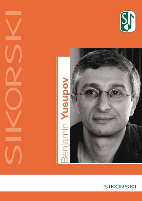



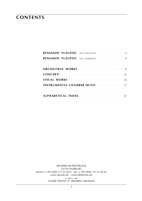# **contents**

|                                                                                         | BENJAMIN YUSUPOV (IN ENGLISH)  4                      |  |  |  |  |  |
|-----------------------------------------------------------------------------------------|-------------------------------------------------------|--|--|--|--|--|
|                                                                                         | <b>BENJAMIN YUSUPOV</b> (IN GERMAN)  6                |  |  |  |  |  |
|                                                                                         |                                                       |  |  |  |  |  |
|                                                                                         |                                                       |  |  |  |  |  |
|                                                                                         |                                                       |  |  |  |  |  |
|                                                                                         |                                                       |  |  |  |  |  |
|                                                                                         | <b>INSTRUMENTAL CHAMBER MUSIC ················ 17</b> |  |  |  |  |  |
|                                                                                         |                                                       |  |  |  |  |  |
| ALPHABETICAL INDEX <b>Strategie and Strategie and Strategie and Strategie and Alpha</b> |                                                       |  |  |  |  |  |

sikorski Musikverlage 20139 hamburg phone: (+ 49) (0)40 / 41 41 00-0 · fax: (+ 49) (0)40 / 41 41 00-41 www.sikorski.de · contact@sikorski.de **18 a p r i l 2016** cover photo © sikorski archives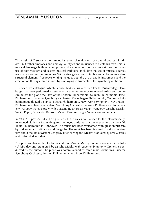The music of Yusupov is not limited by genre classifications or cultural and ethnic idioms, but rather embraces and employs all styles and influences to create his own unique musical language both as a composer and a conductor. In his compositions, he makes use of both Western and Eastern musical traditions, including the use of musical sources from various ethnic communities. With a strong devotion to timbre and color as important structural elements, Yusupov's writing includes both the use of exotic instruments and the creation of illusory ethnic sounds by employing instruments of the symphony orchestra.

His extensive catalogue, which is published exclusively by Sikorski Musikverlag (Hamburg), has been performed extensively by a wide range of renowned artists and orchestra across the globe the likes of the London Philharmonic, Munich Philharmonic, Israel Philharmonic, Lucerne Symphony Orchestra, Copenhagen Philharmonic, Orchestre Philharmonique de Radio France, Bogota Philharmonic, New World Symphony, NDR Radio-Philharmonie Hannover, Iceland Symphony Orchestra, Belgrade Philharmonic, to name a few. Yusupov works closely with outstanding artists as Maxim Vengerov, Mischa Maisky, Vadim Repin, Alexander Kniazev, Maxim Rysanov, Sergei Nakariakov and others.

In 2005, Yusupov's Viola Tango Rock Concerto – written for the internationallyrenowned violinist Maxim Vengerov – enjoyed a triumphant world-premiere by the NDR Radio-Philharmonie in Hannover. The music has been welcomed with great enthusiasm by audiences and critics around the globe. The work has been featured in a documentary film about the life of Maxim Vengerov titled 'Living the Dream' produced by EMI Classics and distributed worldwide.

Yusupov has also written Cello concerto for Mischa Maisky, commemorating the cellist's 60th birthday and premiered by Mischa Maisky with Lucerne Symphony Orchestra conducted by the author. The piece was commissioned by three major orchestras: Lucerne Symphony Orchestra, London Philharmonic and Israel Philharmonic.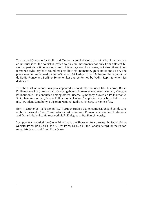The second Concerto for Violin and Orchestra entitled Voices of Violin represents an unusual idea: the soloist is invited to play six movements not only from different historical periods of time, not only from different geographical areas, but also different performance styles, styles of sound-making, bowing, intonation, grace notes and so on. The piece was commissioned by Trans-Siberian Art Festival 2014, Orchestre Philharmonique de Radio France and Berliner Symphoniker and performed by Vadim Repin to whom it's dedicated.

The short list of venues Yusupov appeared as conductor includes KKL Lucerne, Berlin Philharmonie Hall, Amsterdam Concertgebouw, Prinzregententheater Munich, Cologne Philharmonie. He conducted among others Lucerne Symphony, Slovenian Philharmonic, Sinfonietta Amsterdam, Bogota Philharmonic, Iceland Symphony, Novosibirsk Philharmonic, Jerusalem Symphony, Bulgarian National Radio Orchestra, to name a few.

Born in Dushanbe, Tajikistan in 1962, Yusupov studied piano, composition and conducting at the Tchaikovsky State Conservatory in Moscow with Roman Ledeniov, Yuri Fortunatov and Dmitri Kitajenko. He received his PhD degree at Bar-Ilan University.

Yusupov was awarded the Clone Prize (1992), the Sherover Award (1993), the Israeli Prime Minister Prizes (1999, 2008), the ACUM Prizes (2002, 2004) the Landau Award for the Performing Arts (2007), and Engel Prize (2009).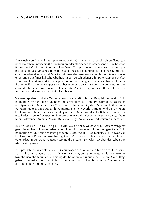Die Musik von Benjamin Yusupov kennt weder Grenzen zwischen einzelnen Gattungen noch zwischen unterschiedlichen Kulturen oder ethnischen Idiomen, sondern sie beschäftigt sich mit sämtlichen Stilen und Einflüssen. Yusupov kreiert dabei sowohl als Komponist als auch als Dirigent eine ganz eigene musikalische Sprache. In seinen Kompositionen verarbeitet er sowohl Musiktraditionen des Westens als auch des Ostens, wobei er besonders auf musikalische Überlieferungen verschiedener ethnischer Gemeinschaften zurückgreift. Zudem sind für Yusupov Timbre und Klangfarbe sehr wichtige strukturelle Elemente. Ein weiterer kompositorisch besonderer Aspekt ist sowohl die Verwendung von original ethnischen Instrumenten als auch die Annäherung an diese Klangwelt mit den Instrumenten des westlichen Sinfonieorchesters.

Weltweit spielen namhafte Orchester Yusupovs Musik, wie zum Beispiel das London Philharmonic Orchestra, die Münchner Philharmoniker, das Israel Philharmonic, das Luzerner Symphonie Orchester, das Copenhagen Philharmonic, das Orchestre Philharmonic de Radio France, das Bogota Philharmonic, die New World Symphony, die NDR Radio Philharmonie Hannover, das Iceland Symphony Orchestra oder das Belgrade Philharmonic. Zudem arbeitet Yusupov mit Interpreten wie Maxim Vengerov, Mischa Maisky, Vadim Repin, Alexander Kniazev, Maxim Rysanow, Sergei Nakariakov und weiteren zusammen.

2005 wurde sein Viola Tango Rock Concerto, welches er für Maxim Vengerov geschrieben hat, mit außerordentlichem Erfolg in Hannover mit der dortigen Radio Philharmonie des NDR aus der Taufe gehoben. Dieses Werk wurde mittlerweile weltweit von Publikum und Presse enthusiastisch gefeiert. Zudem nahm dieses Konzert einen besonderen Platz in der Dokumentation ,Living the dream' (EMI Classics) über das Leben von Maxim Vengerov ein.

Yusupov schrieb aus Anlass des 60. Geburtstages des Solisten ein Konzert für Viol on cello und Orchester für Mischa Maisky, der es gemeinsam mit dem Luzerner Symphonieorchester unter der Leitung des Komponisten uraufführte. Die drei Co-Auftraggeber waren neben dem Uraufführungsorchester das London Philharmonic Orchestra und das Israel Philharmonic Orchestra.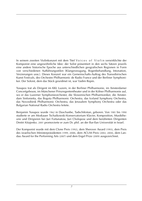In seinem zweiten Violinkonzert mit dem Titel Voices of Violin verwirklichte der Komponist eine ungewöhnliche Idee: der Solist präsentiert in den sechs Sätzen jeweils eine andere historische Epoche aus unterschiedlichen geografischen Regionen in Form von verschiedenen Aufführungsstilen (Klangerzeugung, Bogenbehandlung, Intonation, Verzierungen usw.). Dieses Konzert war ein Gemeinschafts-Auftrag des Transsibirischen Kunst Festivals, des Orchestre Philharmonic de Radio France und der Berliner Symphoniker. Der Soloist, dem das Stück gewidmet ist, war Vadim Repin.

Yusupov trat als Dirigent im KKL Luzern, in der Berliner Philharmonie, im Amsterdamer Concertgebouw, im Münchener Prinzregententheater und in der Kölner Philharmonie auf, wo er das Luzerner Symphonieorchester, die Slowenischen Philharmoniker, die Amsterdam Sinfonietta, das Bogota Philharmonic Orchestra, das Iceland Symphony Orchestra, das Novosibirsk Philharmonic Orchestra, das Jerusalem Symphony Orchestra oder das Bulgarian National Radio Orchestra leitete.

Benjamin Yusupov wurde 1962 in Duschanbe, Tadschikistan, geboren. Von 1981 bis 1990 studierte er am Moskauer Tschaikowski-Konservatorium Klavier, Komposition, Musiktheorie und Dirigieren bei Juri Fortunatow, Juri Cholopow und dem berühmten Dirigenten Dmitri Kitajenko. 2001 promovierte er zum Dr. phil. an der Bar-Ilan Universität in Israel.

Der Komponist wurde mit dem Clone Preis (1992), dem Sherover Award (1993), dem Preis des israelischen Ministerpräsidenten (1999, 2008), dem ACUM Preis (2002, 2004), dem Landau Award for the Performing Arts (2007) und dem Engel Prize (2009) ausgezeichnet.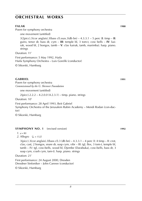#### **falak 1988**

Poem for symphony orchestra

one movement (untitled)

3(2picc).3(cor anglais).3(bass cl).ssax.3(db bn) – 4.3.3.1 – 5 perc (**I**: timp – **II**: guiro, tenor dr, bass dr, cym – **III**: temple bl, 3 tom-t, cow bells – **IV**: kairak, wood bl, 2 bongos, tamb – **V**: clav kairak, tamb, marimba). harp. piano. strings

Duration: 11'

First performance: 5 May 1992, Haifa Haifa Symphony Orchestra – Luis Gorelik (conductor) © Sikorski, Hamburg

#### **gabri el 1991**

Poem for symphony orchestra *Commissioned by the G. Sherover Foundation*

one movement (untitled)

2(picc).2.2.2 – 4.2.0.0 (4.2.3.1) – timp. piano. strings

Duration: 10'

First performance: 28 April 1993, Beit Gabriel

Symphony Orchestra of the Jerusalem Rubin Academy – Mendi Rodan (con-ductor)

© Sikorski, Hamburg

#### **Symphony no. 1** (revised version) **1992**

 $1. \, \text{J} = 80$ 

*2*. Allegro  $(1 = 152)$ 

3(picc).3(cor anglais).3(bass cl).3 (db bn) – 4.3.3.1 – 4 perc (I: 4 timp – II: crot, clav, cast, 2 bongos, snare dr, susp cym, vibr – III: tgl, flex, 3 tom-t, temple bl, tamb – IV: tgl, cow-bells, wood bl, Djembe (Darabuka), cow-bells, bass dr, 3 susp cym, crash cym, tam-t). harp. piano. strings

Duration: 21'

First performance: 24 August 2000, Dresden Dresdner Sinfoniker – John Carewe (conductor)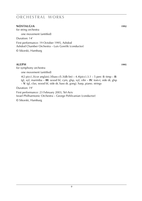#### **no stal GIA** 1992

for string orchestra

one movement (untitled)

Duration: 14'

First performance: 19 October 1995, Ashdod Ashdod Chamber Orchestra – Luis Gorelik (conductor)

© Sikorski, Hamburg

#### **aleph 1995**

for symphony orchestra

one movement (untitled)

4(2 picc).3(cor anglais).3(bass cl).3(db bn) – 4.4(picc).3.1 – 5 perc (**I**: timp – **II**: tgl, xyl, marimba – **III**: wood bl, cym, glsp, xyl, vibr – **IV**: tom-t, side dr, glsp – **V**: tgl, clav, wood bl, side dr, bass dr, gong). harp, piano. strings

Duration: 19'

First performance: 23 February 2003, Tel-Aviv Israel Philharmonic Orchestra – George Pehlivanian (conductor)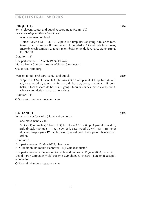#### **iniouries 1998**

for 16 players, santur and duduk (according to Psalm 130) *Commissioned by the Musica Nova Consort*

one movement (untitled)

1(picc).1.1(*Eb* cl).1 – 1.1.1.0 – 2 perc (**I**: 4 timp, bass dr, gong, tubular chimes, tam-t, vibr, marimba – **II**: crot, wood bl, cow-bells, 3 tom-t, tubular chimes, snare dr, crash cymbals, 2 gongs, marimba). santur. duduk. harp. piano. strings (1/1/1/1/1)

Duration: 14'

First performance: 6 March 1999, Tel-Aviv Musica Nova Consort – Arthur Weisberg (conductor)

© Sikorski, Hamburg

· Version for full orchestra, santur and duduk **2000**

 $3(2picc).2.3(Eb cI, bass cI).3 (db bn) - 4.3.3.1 - 3 perc (I: 4 timp, bass dr, – II:$ tgl, crot, wood bl, tom-t, tamb, snare dr, bass dr, gong, marimba – III: cowbells, 3 tom-t, snare dr, bass dr, 2 gongs, tubular chimes, crash cymb, tam-t, vibr). santur. duduk. harp. piano. strings

Duration: 14'

© Sikorski, Hamburg · *score:* **s i k 8504**

## **go tango 2003**

for orchestra or for violin (viola) and orchestra

one movement:  $\frac{1}{2}$  = 104

3(picc).3(cor anglais).3(bass cl).3(db bn) – 4.3.3.1 – timp, 4 perc (**I**: wood bl, side dr, xyl, marimba – **II**: tgl, cow bell, cast, wood bl, xyl, vibr – **III**: tenor dr, cym, susp. cym – **IV**: tamb, bass dr, gong). guit. harp. piano. bandoneon. strings

Duration: 5'

First performance: 12 May 2005, Hannover NDR Radiophilharmonie Hannover – Eiji Oue (conductor)

First performance of the version for viola and orchestra: 11 June 2008, Lucerne David Aaron Carpenter (viola) Lucerne Symphony Orchestra – Benjamin Yusupov (conductor)

© Sikorski, Hamburg · *score:* **s i k 8535**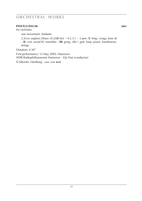## **po stludium 2003**

for orchestra

one movement: Andante

2.2(cor anglais).2(bass cl).2(db bn) – 4.2.3.1 – 3 perc (**I**: timp, conga, bass dr – **II**: crot, wood bl, marimba – **III**: gong, vibr ). guit. harp. piano. bandoneon. strings

Duration: 6'30''

First performance: 12 May 2005, Hannover NDR Radiophilharmonie Hannover – Eiji Oue (conductor)

© Sikorski, Hamburg · *score:* **s i k 8535**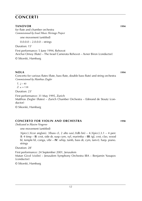### **tanovor 1994**

for flute and chamber orchestra *Commissioned by Israel Music Heritage Project*

one movement (untitled)

 $0.0.0.0 - 2.0.0.0 - \text{strings}$ 

Duration: 15'

First performance: 5 June 1994, Rehovot

Avichai Ornoy (flute) – The Israel Camerata Rehovot – Avner Biron (conductor) © Sikorski, Hamburg

**nola 1994 1994** Concerto for various flutes (flute, bass flute, double bass flute) and string orchestra *Commissioned by Matthias Ziegler*

 $1. \, \frac{\sqrt{2}}{2} \approx 40$  $2. \, \text{d} = 138$ 

Duration: 23'

First performance: 31 May 1995, Zurich

Matthias Ziegler (flutes) – Zurich Chamber Orchestra – Edmond de Stoutz (conductor)

© Sikorski, Hamburg

## **CONCERTO FOR VIOLIN AND ORCHESTRA 1998**

*Dedicated to Maxim Vengerov*

one movement (untitled)

 $3(pice).3(cor$  anglais).  $3(bass cl, 2 alto sax).3(db bn) - 4.3(picc).3.1 - 4 perc)$ (**I**: 4 timp – **II**: crot, side dr, susp cym, xyl, marimba – **III**: tgl, crot, clav, wood bl, temple bl, conga, vibr – **IV**: whip, tamb, bass dr, cym, tam-t). harp. piano. strings

Duration: 28'

First performance: 24 September 2001, Jerusalem Matan Givol (violin) – Jerusalem Symphony Orchestra IBA – Benjamin Yusupov (conductor)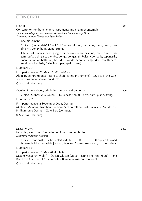### **dia shtrath is a short control of the sheet of the sheet of the sheet of the sheet of the sheet of the sheet of the sheet of the sheet of the sheet of the sheet of the sheet of the sheet of the sheet of the sheet of the s**

one movement

 $1(picc)$ .1(cor anglais).1.1 – 1.1.1.0 – perc (4 timp, crot, clav, tom-t, tamb, bass dr, cym, gong). harp. piano. strings

Ethnic instruments: perc (gong, vibr, mbira, ocean mashine, frame drums system, buffalo dr, glsp, djembe, gongs, congas, timbales, cow-bells, tepanastly, snare dr, indian bells line, bass dr) – winds (ocarina, didgeridoo, mouth harp, small wind whistle, 2 singing pipes, spain zurna)

#### Duration: 20'

First performance: 25 March 2000, Tel-Aviv Alain Trudel (trombone) – Boris Sichon (ethnic instruments) – Musica Nova Consort – Konstantia Gourzi (conductor)

© Sikorski, Hamburg

· Version for trombone, ethnic instruments and orchestra **2000**

 $2$ (picc).2.2(bass cl).2(db bn) – 4.2.3(bass trbn).0 – perc. harp. piano. strings

Duration: 20'

First performance: 2 September 2004, Dessau

Michael Massong (trombone) – Boris Sichon (ethnic instruments) – Anhaltische Philharmonie Dessau – Golo Berg (conductor)

© Sikorski, Hamburg

## **maximum 2003**

for violin, viola, flute (and alto flute), harp and orchestra *Dedicated to Maxim Vengerov*

 $2(picc).1(cor anglais).2(bass clar).2(db bn) - 0.0.0.0 - perc (time, cast, wood)$ bl, temple bl, tamb, tabla [conga], bongos, 5 tom-t, susp. cym). piano. strings Duration: 12'

First performance: 13 May 2004, Haifa Maxim Vengerov (violin) – Özcan Ulucan (viola) – Janne Thomsen (flute) – Jana Bouskova (harp) – Tel Aviv Soloists – Benjamin Yusupov (conductor) © Sikorski, Hamburg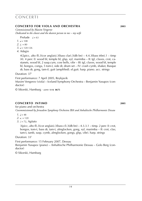### *CONCERTO FOR VIOLA AND ORCHESTRA* 2003

*Commissioned by Maxim Vengerov Dedicated to the closest and the dearest person to me – my wife*

Prelude  $l = 63$ 

- $1 108$
- $2<sup>1</sup> = 80$
- $3. \, \text{J} = 120 126$

*4*. Adagio

4(2picc, alto fl).3(cor anglais).3(bass clar).3(db bn) – 4.4.3(bass trbn).1 – timp (4). 4 perc (I: wood bl, temple bl, glsp, xyl, marimba – II: tgl, claves, crot, castanets, wood bl, 2 susp.cym, cow bells, vibr – III: tgl, claves, wood bl, temple bl, bongos, conga, 5 tom-t, side dr, drum set – IV: crash cymb, shaker, Basque dr, bass dr, gong, tam-t). guit (amplified). el.guit. harp. piano. acc. strings

Duration: 37'

First performance: 7 April 2005, Reykjavik Maxim Vengerov (viola) – Iceland Symphony Orchestra – Benjamin Yusupov (conductor)

© Sikorski, Hamburg · *score:* **s i k 8675**

## **concerto intimo 2005**

for piano and orchestra *Cocommissioned by Jerusalem Symphony Orchestra IBA and Anhaltische Philharmonie Dessau*

- $1 \quad -48$
- $2^{\frac{1}{2}} = 120$
- *3.*  $a = 72$ , Agitato

3(picc, alto fl).3(cor anglais).3(bass cl).3(db bn) – 4.3.3.1 – timp. 2 perc (I: crot, bongos, tom-t, bass dr, tam-t, almglocken, gong, xyl, marimba – II: crot, clav, tam-t, tamb, susp. cymb, almglocken, gongs, glsp, vibr). harp. strings

Duration: 33'

First performance: 15 February 2007, Dessau Benjamin Yusupov (piano) – Anhaltische Philharmonie Dessau – Golo Berg (conductor)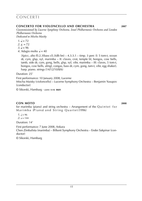#### **CONCERTO FOR VIOLONCELLO AND ORCHESTRA** 2007

*Cocommissioned by Lucerne Symphony Orchestra, Israel Philharmonic Orchestra and London Philharmonic Orchestra*

*Dedicated to Mischa Maisky*

1. 
$$
\frac{1}{2} = 72
$$

 $2. \bullet. = 72$ 

$$
3. \, \mathsf{J} = 96
$$

*4*. Adagio molto **J** = 40

3(picc, alto fl).2.3(bass cl).3(db bn) – 4.3.3.1 – timp. 3 perc (I: 5 tom-t, ocean dr, cym, glsp, xyl, marimba – II: claves, crot, temple bl, bongos, cow bells, tamb, side dr, cym, gong, bells, glsp, xyl, vibr, marimba – III: claves, 5 tom-t, bongos, cow bells, almgl, congas, bass dr, cym, gong, tam-t, vibr, egg shaker). harp. piano. strings (14/12/10/8/6)

Duration: 25'

First performance: 10 January 2008, Lucerne Mischa Maisky (violoncello) – Lucerne Symphony Orchestra – Benjamin Yusupov (conductor)

© Sikorski, Hamburg · *score:* **s i k 8601**

## **con moto 2008**

for marimba (piano) and string orchestra  $-$  Arrangement of the Q u i n t e t f o r Marimba (Piano) and String Quartet (1996)

 $1. \, \frac{1}{2} = 96$ 2.  $l = 144$ 

Duration: 14'

First performance: 7 June 2008, Ankara Chen Zimbalista (marimba) – Bilkent Symphony Orchestra – Ender Sakpinar (conductor)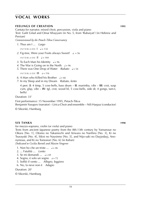# **vocal works**

#### **fEELINGS OF CREATION 1995**

Cantata for narrator, mixed choir, percussion, viola and piano Text: Galit Gilad and Omar Khayyam (in No. 5, from 'Rubaiyat') (in Hebrew and Persian)

*Commissioned by the Petach-Tikva Conservatory*

*1*. Thus am I ... *Largo*

 $INTERI UDE \nightharpoonup = 132$ 

2. Fig-tree, Were your Fruits always Sweet?  $\downarrow$  = 56

 $INTERLUPFII = 144$ 

- *3*. To Each Man his Identity  $\sqrt{ } = 96$
- *4*. The War is Going on in the North  $\sqrt{ }$  = 96
- *5*. There was One Drop of Water  $= 54$

 $INTER$  LUDE  $III$   $=$  116

6. A Man who Killed his Brother  $\frac{1}{2} = 66$ 

*7*. In my Sleep and in my Dream *Rubato, lento*

4 perc (**I**: 4 timp, 5 cow-bells, bass drum – **II**: marimba, vibr – **III**: crot, susp cym, glsp, vibr – **IV**: tgl, crot, wood bl, 5 cow-bells, side dr, 4 gongs, tam-t, bells)

Duration: 33'

First performance: 15 November 1995, Petach-Tikva

Benjamin Yusupov (narrator) – Lirica Choir and ensemble – Nili Harpaz (conductor)

© Sikorski, Hamburg

#### **s ix tanka 1998**

for mezzo-soprano, violin (or viola) and piano

Texts from ancient Japanese poetry from the 8th-13th century by Yamanoue no Okura [No. 1], Otomo no Yakamochi and Ariwara no Narihira [No. 3], Ki no Tsurayuki [No. 4], Sikisi no Naysinno [No. 5], and Nijo-saki no Dayjodayj, Anonymous, and Ki no Tomonori [No. 6] (in Italian) *Dedicated to Cecilia Bartoli and Maxim Vengerov*

1. Non ho che un triste  $\ldots$   $\neq 46$ 

- 2. ... Fatalità ... *Lento*
- 3. Se mi domandi  $\ldots$   $\mathbf{a} = 69$
- 4. Sogno, è solo un sogno  $\sqrt{2} = 72$
- 5. Soffiò il vento ... *Allegro, leggiero*
- 6. No, la neve non è *Adagio*

Duration: 20'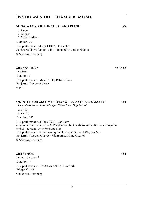#### *17*

## **INSTRUMENTAL CHAMBER MUSIC**

#### **sONATA FOR VIOLONCELLO AND PIANO 1988**

- *1*. Largo
- *2*. Allegro

*3*. Molto andante

Duration: 22'

First performance: 4 April 1988, Dushanbe Zuchra Sadikova (violoncello) – Benjamin Yusupov (piano)

© Sikorski, Hamburg

#### **m elancholy 1984**/**1995**

for piano Duration: 7' First performance: March 1995, Petach-Tikva Benjamin Yusupov (piano) © IMC

#### **QUINTET FOR MARIMBA (PIANO) AND STRING QUARTET 1996**

*Commissioned by the Kol-Israel Upper Galilee Music Days Festival*

 $1. \, \text{J} = 96$  $2. \, \text{J} = 144$ 

Duration: 14'

First performance: 31 July 1996, Kfar Blum C. Zimbalista (marimba) – A. Kobiliansky, N. Gandelsman (violins) – Y. Meyuhas (viola) – F. Nemirovsky (violoncello) First performance of the piano quintet version: 5 June 1998, Tel-Aviv Benjamin Yusupov (piano) – Filarmonica String Quartet © Sikorski, Hamburg

#### **m et al. 1996 m** et al. 1996 **m** et al. 1996

for harp (or piano) Duration: 7' First performance: 10 October 2007, New York Bridget Kibbey © Sikorski, Hamburg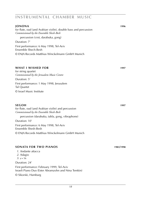## **in strum ental chamb er mu s ic**

#### **jonona 1996**

for flute, oud (and Arabian violin), double bass and percussion *Commissioned by the Ensemble Shesh-Besh*

percussion (crot, darabuka, gong)

Duration: 7'

First performance: 6 May 1998, Tel-Aviv Ensemble Shech-Besh

© ENJA Records Matthias Winckelmann GmbH Munich

#### **WHAT I WISHED FOR 1997**

for string quartet *Commissioned by the Jerusalem Music Centre*

Duration: 5' First performance: 1 May 1998, Jerusalem Tal Quartet © Israel Music Institute

#### **SEGOH** 1997

for flute, oud (and Arabian violin) and percussion *Commissioned by the Ensemble Shesh-Besh*

percussion (darabuka, tabla, gong, vibraphone)

Duration: 10'

First performance: 6 May 1998, Tel-Aviv Ensemble Shesh-Besh

© ENJA Records Matthias Winckelmann GmbH Munich

#### **sonata for two p iano s 1983**/**1998**

- *1*. Andante attacca
- *2*. Adagio
- $3. \, \text{J} = 56$

Duration: 24'

First performance: February 1999, Tel-Aviv Israeli Piano Duo (Ester Abramzohn and Nina Temkin) © Sikorski, Hamburg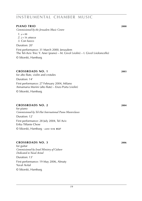## **INSTRUMENTAL CHAMBER MUSIC**

#### **p iano trio 2000**

*Commissioned by the Jerusalem Music Centre*

 $1. \, \text{J} = 88$ 

 $2. \, \text{J} = 56 \, \text{attacca}$ 

*3*. Con fuoco

Duration: 20'

First performance: 31 March 2000, Jerusalem The Tel-Aviv Trio: Y. Aner (piano) – M. Givol (violin) – I. Givol (violoncello) © Sikorski, Hamburg

#### **cro s sroads no. 1 2003**

for alto flute, violin and crotales Duration: 14' First performance: 27 February 2004, Milano Annamaria Morini (alto flute) – Enzo Porta (violin) © Sikorski, Hamburg

#### **cro s sroads no. 2 2004**

for piano *Commissioned by Tel-Hai International Piano Masterclasses* Duration: 12' First performance: 28 July 2004, Tel Aviv Erika Tiffanie Chow © Sikorski, Hamburg · *score:* **s i k 8527**

#### **cro s sroads no. 3 2006**

for guitar *Commissioned by Israel Ministry of Culture Dedicated to Yuval Avital*

Duration: 13' First performance: 19 May 2006, Almaty Yuval Avital © Sikorski, Hamburg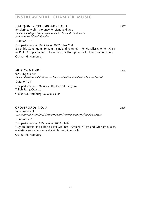## **in strum ental chamb er mu s ic**

#### **haqqoni – crossroads no. 4 2007**

for clarinet, violin, violoncello, piano and tape *Commissioned by Edward Yagudaev for the Ensemble Continuum in memoriam Eduard Nektalov*

Duration: 18'

First performance: 10 October 2007, New York Ensemble Continuum: Benjamin Fingland (clarinet) – Renée Jolles (violin) – Kristina Reiko Cooper (violoncello) – Cheryl Seltzer (piano) – Joel Sachs (conductor)

© Sikorski, Hamburg

#### **musica mundi 2008**

for string quartet *Commissioned by and dedicated to Musica Mundi International Chamber Festival* Duration: 21' First performance: 26 July 2008, Genval, Belgium Talich String Quartet © Sikorski, Hamburg · *score:* **s i k 8586**

## **cro s sroads no. 5 2008**

for string sextet *Commissioned by the Israel Chamber Music Society in memory of Smadar Shazar*

Duration: 20'

First performance: 9 December 2008, Haifa Guy Braunstein and Eliron Cziger (violins) – Amichai Gross and Ori Kam (violas) – Kristina Reiko Cooper and Zvi Plesser (violoncelli)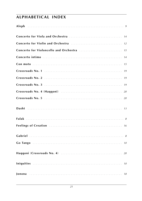# **ALPHABETICAL INDEX**

| Concerto for Violoncello and Orchestra  15 |
|--------------------------------------------|
|                                            |
|                                            |
|                                            |
|                                            |
|                                            |
|                                            |
|                                            |
|                                            |
|                                            |
|                                            |
|                                            |
|                                            |
|                                            |
|                                            |
|                                            |